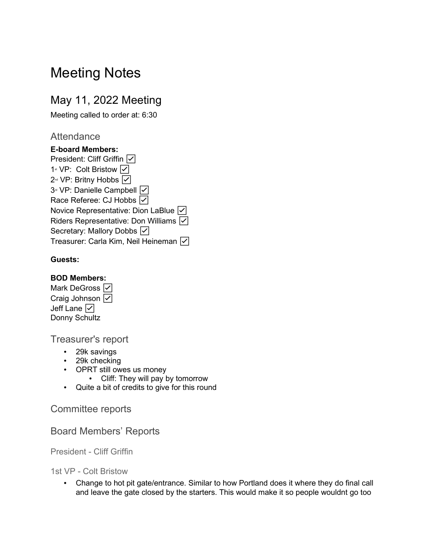# Meeting Notes

# May 11, 2022 Meeting

Meeting called to order at: 6:30

# **Attendance**

**E-board Members:** President: Cliff Griffin  $\boxed{\checkmark}$ 1<sup>st</sup> VP: Colt Bristow  $\boxed{\checkmark}$ 2<sup>nd</sup> VP: Britny Hobbs  $\boxed{\checkmark}$ 3<sup>rd</sup> VP: Danielle Campbell  $\boxed{V}$ Race Referee: CJ Hobbs  $\boxed{\triangledown}$ Novice Representative: Dion LaBlue  $\boxed{\checkmark}$ Riders Representative: Don Williams  $\boxed{\checkmark}$ Secretary: Mallory Dobbs  $\boxed{\checkmark}$ Treasurer: Carla Kim, Neil Heineman  $\nabla$ 

# **Guests:**

### **BOD Members:**

| Mark DeGross √                     |  |
|------------------------------------|--|
| Craig Johnson $\boxed{\checkmark}$ |  |
| Jeff Lane $ \nabla $               |  |
| Donny Schultz                      |  |

# Treasurer's report

- 29k savings
- 29k checking
- OPRT still owes us money
	- Cliff: They will pay by tomorrow
- Quite a bit of credits to give for this round

# Committee reports

# Board Members' Reports

President - Cliff Griffin

1st VP - Colt Bristow

• Change to hot pit gate/entrance. Similar to how Portland does it where they do final call and leave the gate closed by the starters. This would make it so people wouldnt go too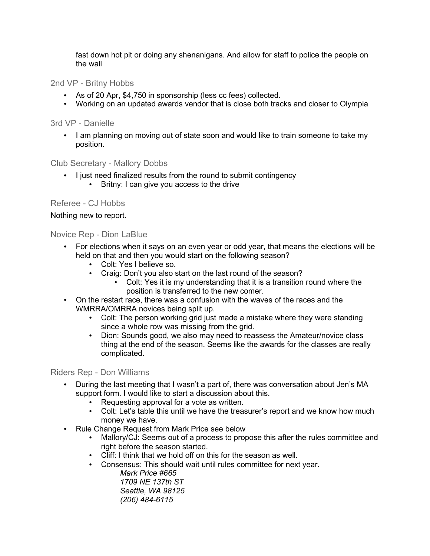fast down hot pit or doing any shenanigans. And allow for staff to police the people on the wall

#### 2nd VP - Britny Hobbs

- As of 20 Apr, \$4,750 in sponsorship (less cc fees) collected.
- Working on an updated awards vendor that is close both tracks and closer to Olympia

#### 3rd VP - Danielle

• I am planning on moving out of state soon and would like to train someone to take my position.

#### Club Secretary - Mallory Dobbs

- I just need finalized results from the round to submit contingency
	- Britny: I can give you access to the drive

#### Referee - CJ Hobbs

#### Nothing new to report.

#### Novice Rep - Dion LaBlue

- For elections when it says on an even year or odd year, that means the elections will be held on that and then you would start on the following season?
	- Colt: Yes I believe so.
	- Craig: Don't you also start on the last round of the season?
		- Colt: Yes it is my understanding that it is a transition round where the position is transferred to the new comer.
- On the restart race, there was a confusion with the waves of the races and the WMRRA/OMRRA novices being split up.
	- Colt: The person working grid just made a mistake where they were standing since a whole row was missing from the grid.
	- Dion: Sounds good, we also may need to reassess the Amateur/novice class thing at the end of the season. Seems like the awards for the classes are really complicated.

#### Riders Rep - Don Williams

- During the last meeting that I wasn't a part of, there was conversation about Jen's MA support form. I would like to start a discussion about this.
	- Requesting approval for a vote as written.
	- Colt: Let's table this until we have the treasurer's report and we know how much money we have.
- Rule Change Request from Mark Price see below
	- Mallory/CJ: Seems out of a process to propose this after the rules committee and right before the season started.
	- Cliff: I think that we hold off on this for the season as well.
	- Consensus: This should wait until rules committee for next year.

*Mark Price #665 1709 NE 137th ST Seattle, WA 98125 (206) 484-6115*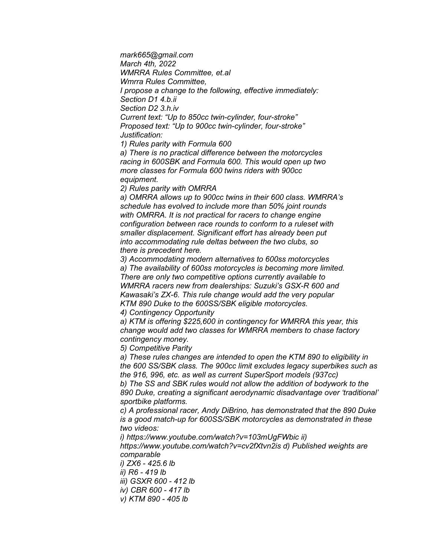*mark665@gmail.com March 4th, 2022 WMRRA Rules Committee, et.al Wmrra Rules Committee, I propose a change to the following, effective immediately: Section D1 4.b.ii Section D2 3.h.iv Current text: "Up to 850cc twin-cylinder, four-stroke" Proposed text: "Up to 900cc twin-cylinder, four-stroke"*

*Justification:*

*1) Rules parity with Formula 600*

*a) There is no practical difference between the motorcycles racing in 600SBK and Formula 600. This would open up two more classes for Formula 600 twins riders with 900cc equipment.*

*2) Rules parity with OMRRA*

*a) OMRRA allows up to 900cc twins in their 600 class. WMRRA's schedule has evolved to include more than 50% joint rounds with OMRRA. It is not practical for racers to change engine configuration between race rounds to conform to a ruleset with smaller displacement. Significant effort has already been put into accommodating rule deltas between the two clubs, so there is precedent here.*

*3) Accommodating modern alternatives to 600ss motorcycles a) The availability of 600ss motorcycles is becoming more limited. There are only two competitive options currently available to WMRRA racers new from dealerships: Suzuki's GSX-R 600 and Kawasaki's ZX-6. This rule change would add the very popular KTM 890 Duke to the 600SS/SBK eligible motorcycles.*

*4) Contingency Opportunity*

*a) KTM is offering \$225,600 in contingency for WMRRA this year, this change would add two classes for WMRRA members to chase factory contingency money.* 

*5) Competitive Parity* 

*a) These rules changes are intended to open the KTM 890 to eligibility in the 600 SS/SBK class. The 900cc limit excludes legacy superbikes such as the 916, 996, etc. as well as current SuperSport models (937cc)* 

*b) The SS and SBK rules would not allow the addition of bodywork to the 890 Duke, creating a significant aerodynamic disadvantage over 'traditional' sportbike platforms.* 

*c) A professional racer, Andy DiBrino, has demonstrated that the 890 Duke is a good match-up for 600SS/SBK motorcycles as demonstrated in these two videos:* 

*i) https://www.youtube.com/watch?v=103mUgFWbic ii) https://www.youtube.com/watch?v=cv2fXtvn2is d) Published weights are comparable* 

*i) ZX6 - 425.6 lb ii) R6 - 419 lb iii) GSXR 600 - 412 lb iv) CBR 600 - 417 lb v) KTM 890 - 405 lb*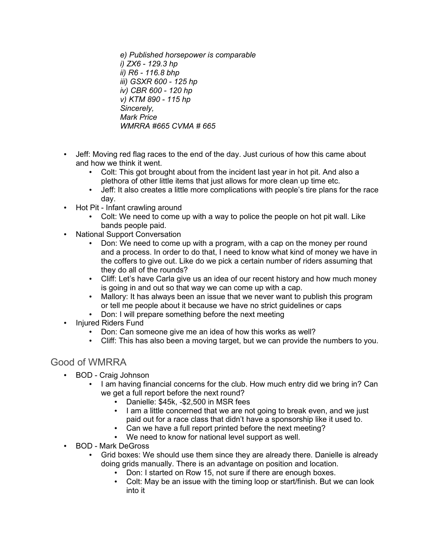*e) Published horsepower is comparable i) ZX6 - 129.3 hp ii) R6 - 116.8 bhp iii) GSXR 600 - 125 hp iv) CBR 600 - 120 hp v) KTM 890 - 115 hp Sincerely, Mark Price WMRRA #665 CVMA # 665*

- Jeff: Moving red flag races to the end of the day. Just curious of how this came about and how we think it went.
	- Colt: This got brought about from the incident last year in hot pit. And also a plethora of other little items that just allows for more clean up time etc.
	- Jeff: It also creates a little more complications with people's tire plans for the race day.
- Hot Pit Infant crawling around
	- Colt: We need to come up with a way to police the people on hot pit wall. Like bands people paid.
- National Support Conversation
	- Don: We need to come up with a program, with a cap on the money per round and a process. In order to do that, I need to know what kind of money we have in the coffers to give out. Like do we pick a certain number of riders assuming that they do all of the rounds?
	- Cliff: Let's have Carla give us an idea of our recent history and how much money is going in and out so that way we can come up with a cap.
	- Mallory: It has always been an issue that we never want to publish this program or tell me people about it because we have no strict guidelines or caps
	- Don: I will prepare something before the next meeting
- Injured Riders Fund
	- Don: Can someone give me an idea of how this works as well?
	- Cliff: This has also been a moving target, but we can provide the numbers to you.

# Good of WMRRA

- BOD Craig Johnson
	- I am having financial concerns for the club. How much entry did we bring in? Can we get a full report before the next round?
		- Danielle: \$45k, -\$2,500 in MSR fees
		- I am a little concerned that we are not going to break even, and we just paid out for a race class that didn't have a sponsorship like it used to.
		- Can we have a full report printed before the next meeting?
		- We need to know for national level support as well.
- BOD Mark DeGross
	- Grid boxes: We should use them since they are already there. Danielle is already doing grids manually. There is an advantage on position and location.
		- Don: I started on Row 15, not sure if there are enough boxes.
		- Colt: May be an issue with the timing loop or start/finish. But we can look into it